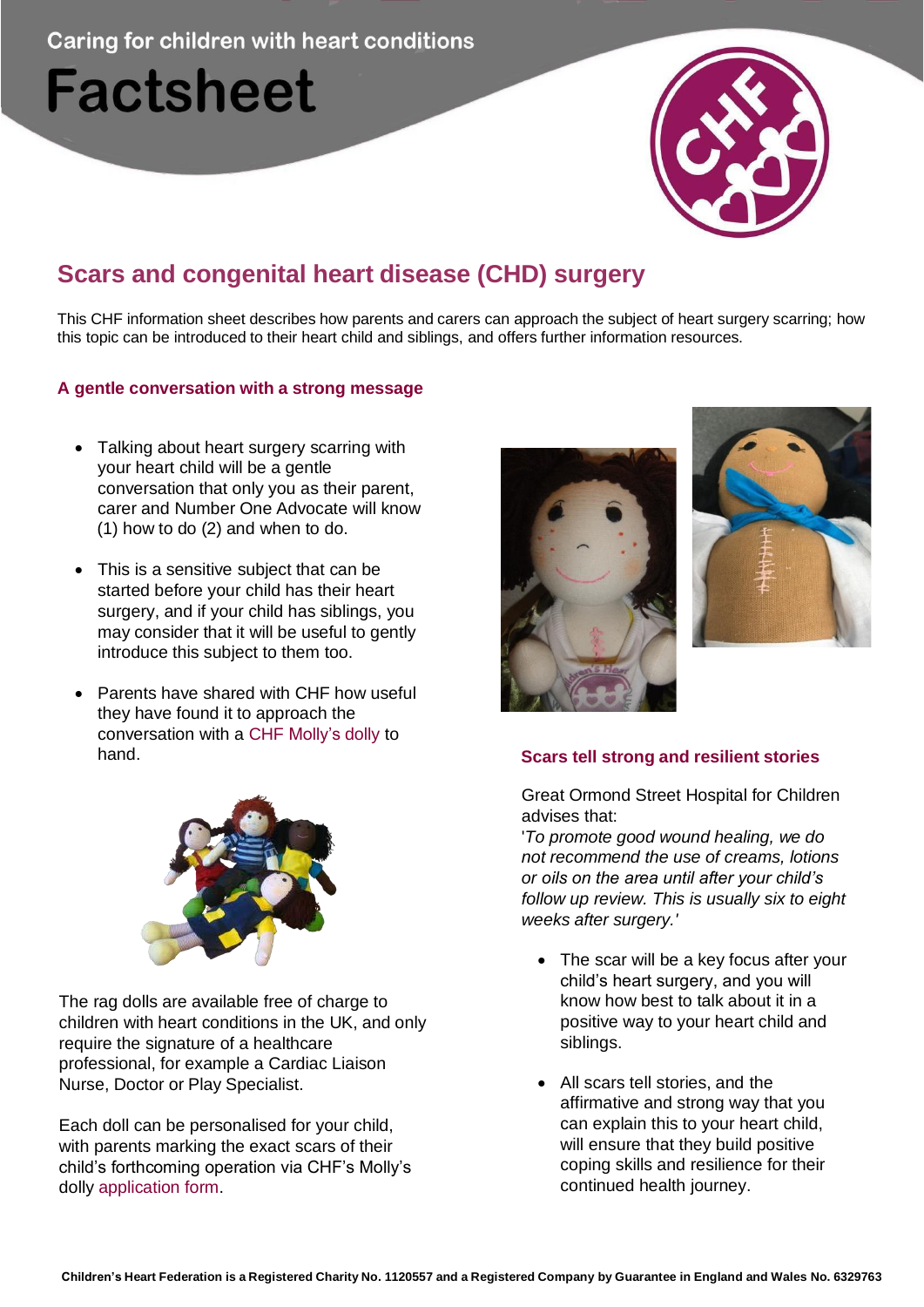**Caring for children with heart conditions** 

# **Factsheet**



# **Scars and congenital heart disease (CHD) surgery**

This CHF information sheet describes how parents and carers can approach the subject of heart surgery scarring; how this topic can be introduced to their heart child and siblings, and offers further information resources.

# **A gentle conversation with a strong message**

- Talking about heart surgery scarring with your heart child will be a gentle conversation that only you as their parent, carer and Number One Advocate will know (1) how to do (2) and when to do.
- This is a sensitive subject that can be started before your child has their heart surgery, and if your child has siblings, you may consider that it will be useful to gently introduce this subject to them too.
- Parents have shared with CHF how useful they have found it to approach the conversation with a CHF Molly's dolly to hand. **Scars tell strong and resilient stories**



The rag dolls are available free of charge to children with heart conditions in the UK, and only require the signature of a healthcare professional, for example a Cardiac Liaison Nurse, Doctor or Play Specialist.

Each doll can be personalised for your child, with parents marking the exact scars of their child's forthcoming operation via CHF's Molly's dolly application form.





Great Ormond Street Hospital for Children advises that:

'*To promote good wound healing, we do not recommend the use of creams, lotions or oils on the area until after your child's follow up review. This is usually six to eight weeks after surgery.'*

- The scar will be a key focus after your child's heart surgery, and you will know how best to talk about it in a positive way to your heart child and siblings.
- All scars tell stories, and the affirmative and strong way that you can explain this to your heart child, will ensure that they build positive coping skills and resilience for their continued health journey.